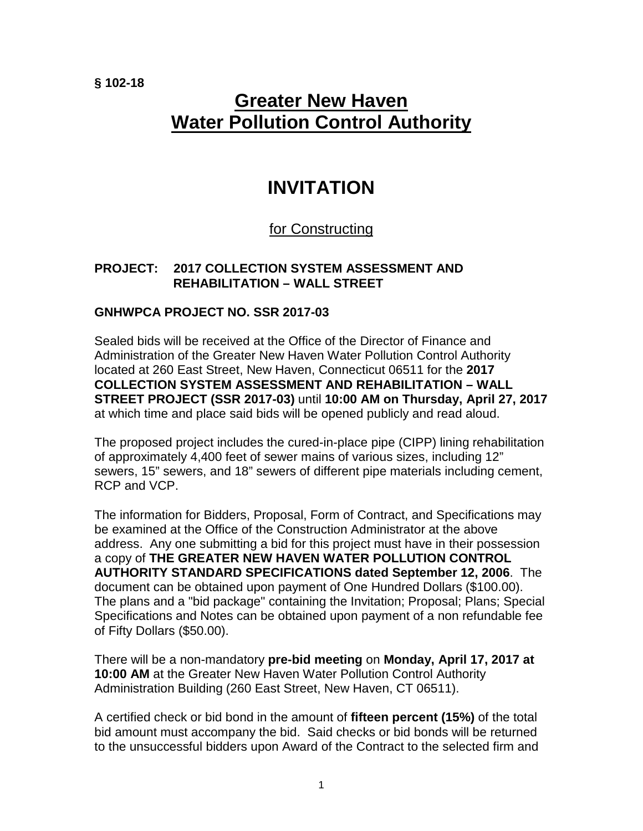**§ 102-18**

# **Greater New Haven Water Pollution Control Authority**

## **INVITATION**

## for Constructing

### **PROJECT: 2017 COLLECTION SYSTEM ASSESSMENT AND REHABILITATION – WALL STREET**

### **GNHWPCA PROJECT NO. SSR 2017-03**

Sealed bids will be received at the Office of the Director of Finance and Administration of the Greater New Haven Water Pollution Control Authority located at 260 East Street, New Haven, Connecticut 06511 for the **2017 COLLECTION SYSTEM ASSESSMENT AND REHABILITATION – WALL STREET PROJECT (SSR 2017-03)** until **10:00 AM on Thursday, April 27, 2017** at which time and place said bids will be opened publicly and read aloud.

The proposed project includes the cured-in-place pipe (CIPP) lining rehabilitation of approximately 4,400 feet of sewer mains of various sizes, including 12" sewers, 15" sewers, and 18" sewers of different pipe materials including cement, RCP and VCP.

The information for Bidders, Proposal, Form of Contract, and Specifications may be examined at the Office of the Construction Administrator at the above address. Any one submitting a bid for this project must have in their possession a copy of **THE GREATER NEW HAVEN WATER POLLUTION CONTROL AUTHORITY STANDARD SPECIFICATIONS dated September 12, 2006**. The document can be obtained upon payment of One Hundred Dollars (\$100.00). The plans and a "bid package" containing the Invitation; Proposal; Plans; Special Specifications and Notes can be obtained upon payment of a non refundable fee of Fifty Dollars (\$50.00).

There will be a non-mandatory **pre-bid meeting** on **Monday, April 17, 2017 at 10:00 AM** at the Greater New Haven Water Pollution Control Authority Administration Building (260 East Street, New Haven, CT 06511).

A certified check or bid bond in the amount of **fifteen percent (15%)** of the total bid amount must accompany the bid. Said checks or bid bonds will be returned to the unsuccessful bidders upon Award of the Contract to the selected firm and